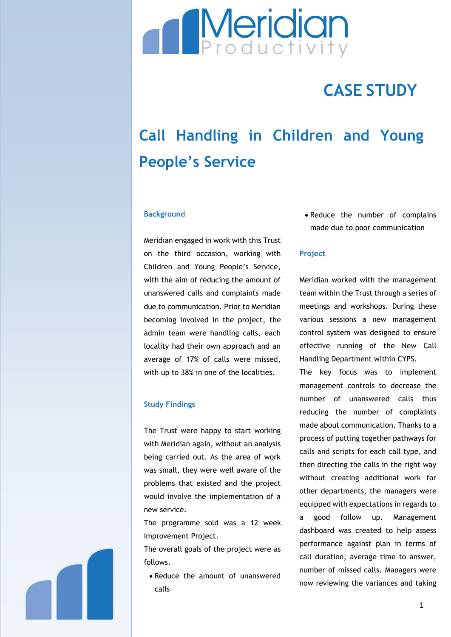

# **CASE STUDY**

# **Call Handling in Children and Young People's Service**

### **Background**

Meridian engaged in work with this Trust on the third occasion, working with Children and Young People's Service, with the aim of reducing the amount of unanswered calls and complaints made due to communication. Prior to Meridian becoming involved in the project, the admin team were handling calls, each locality had their own approach and an average of 17% of calls were missed, with up to 38% in one of the localities.

# **Study Findings**

The Trust were happy to start working with Meridian again, without an analysis being carried out. As the area of work was small, they were well aware of the problems that existed and the project would involve the implementation of a new service.

The programme sold was a 12 week Improvement Project.

The overall goals of the project were as follows.

• Reduce the amount of unanswered calls

• Reduce the number of complains made due to poor communication

# **Project**

Meridian worked with the management team within the Trust through a series of meetings and workshops. During these various sessions a new management control system was designed to ensure effective running of the New Call Handling Department within CYPS.

The key focus was to implement management controls to decrease the number of unanswered calls thus reducing the number of complaints made about communication. Thanks to a process of putting together pathways for calls and scripts for each call type, and then directing the calls in the right way without creating additional work for other departments, the managers were equipped with expectations in regards to a good follow up. Management dashboard was created to help assess performance against plan in terms of call duration, average time to answer, number of missed calls. Managers were now reviewing the variances and taking